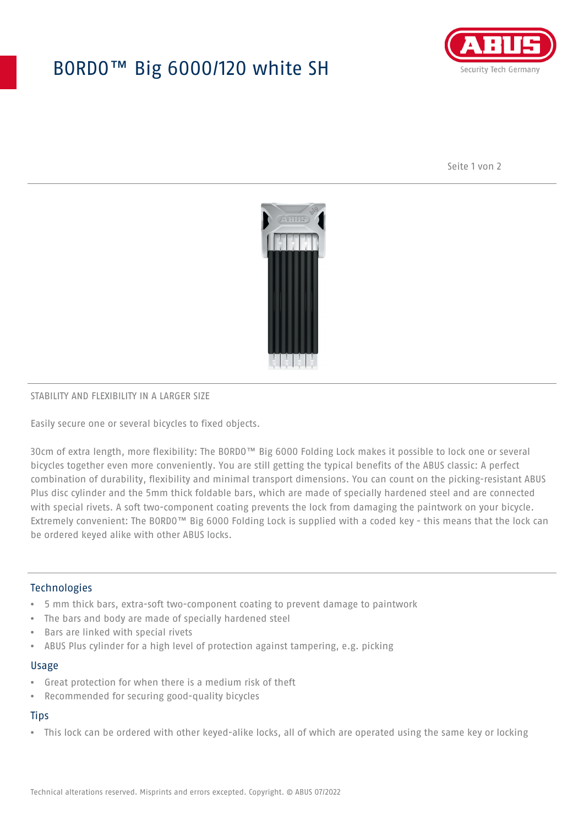## BORDO™ Big 6000/120 white SH



Seite 1 von 2



#### STABILITY AND FLEXIBILITY IN A LARGER SIZE

Easily secure one or several bicycles to fixed objects.

30cm of extra length, more flexibility: The BORDO™ Big 6000 Folding Lock makes it possible to lock one or several bicycles together even more conveniently. You are still getting the typical benefits of the ABUS classic: A perfect combination of durability, flexibility and minimal transport dimensions. You can count on the picking-resistant ABUS Plus disc cylinder and the 5mm thick foldable bars, which are made of specially hardened steel and are connected with special rivets. A soft two-component coating prevents the lock from damaging the paintwork on your bicycle. Extremely convenient: The BORDO™ Big 6000 Folding Lock is supplied with a coded key - this means that the lock can be ordered keyed alike with other ABUS locks.

#### **Technologies**

- 5 mm thick bars, extra-soft two-component coating to prevent damage to paintwork
- The bars and body are made of specially hardened steel
- Bars are linked with special rivets
- ABUS Plus cylinder for a high level of protection against tampering, e.g. picking

#### Usage

- Great protection for when there is a medium risk of theft
- Recommended for securing good-quality bicycles

### **Tips**

• This lock can be ordered with other keyed-alike locks, all of which are operated using the same key or locking